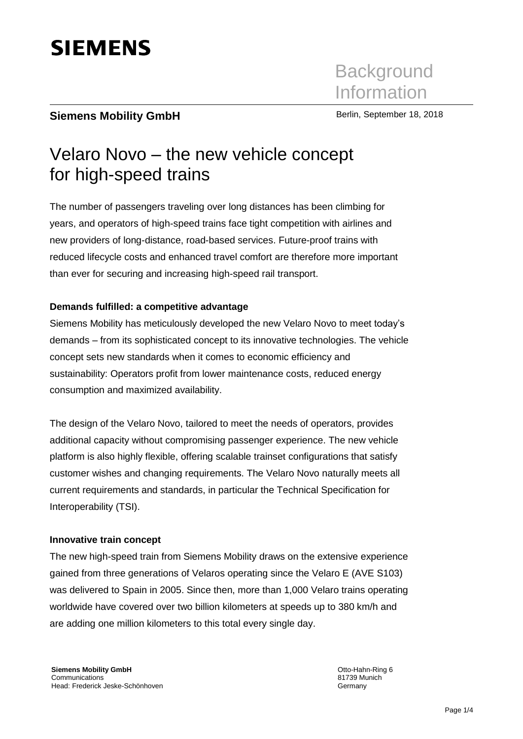# **SIEMENS**

# **Siemens Mobility GmbH** Berlin, September 18, 2018

# Velaro Novo – the new vehicle concept for high-speed trains

The number of passengers traveling over long distances has been climbing for years, and operators of high-speed trains face tight competition with airlines and new providers of long-distance, road-based services. Future-proof trains with reduced lifecycle costs and enhanced travel comfort are therefore more important than ever for securing and increasing high-speed rail transport.

# **Demands fulfilled: a competitive advantage**

Siemens Mobility has meticulously developed the new Velaro Novo to meet today's demands – from its sophisticated concept to its innovative technologies. The vehicle concept sets new standards when it comes to economic efficiency and sustainability: Operators profit from lower maintenance costs, reduced energy consumption and maximized availability.

The design of the Velaro Novo, tailored to meet the needs of operators, provides additional capacity without compromising passenger experience. The new vehicle platform is also highly flexible, offering scalable trainset configurations that satisfy customer wishes and changing requirements. The Velaro Novo naturally meets all current requirements and standards, in particular the Technical Specification for Interoperability (TSI).

# **Innovative train concept**

The new high-speed train from Siemens Mobility draws on the extensive experience gained from three generations of Velaros operating since the Velaro E (AVE S103) was delivered to Spain in 2005. Since then, more than 1,000 Velaro trains operating worldwide have covered over two billion kilometers at speeds up to 380 km/h and are adding one million kilometers to this total every single day.

Otto-Hahn-Ring 6 81739 Munich Germany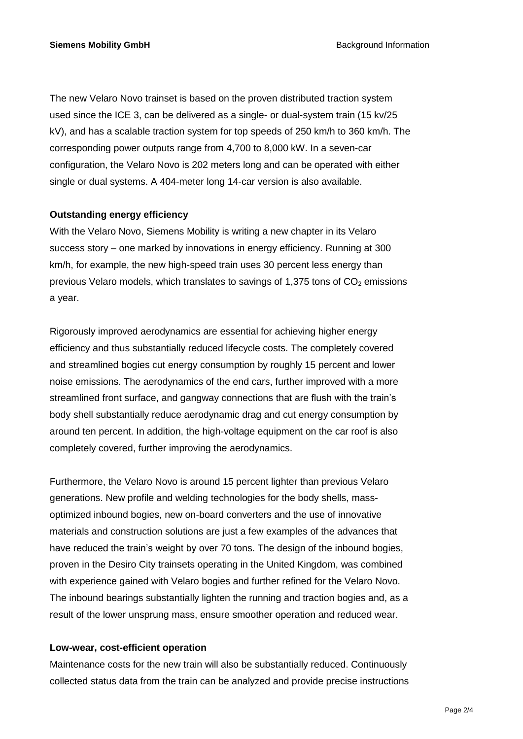The new Velaro Novo trainset is based on the proven distributed traction system used since the ICE 3, can be delivered as a single- or dual-system train (15 kv/25 kV), and has a scalable traction system for top speeds of 250 km/h to 360 km/h. The corresponding power outputs range from 4,700 to 8,000 kW. In a seven-car configuration, the Velaro Novo is 202 meters long and can be operated with either single or dual systems. A 404-meter long 14-car version is also available.

# **Outstanding energy efficiency**

With the Velaro Novo, Siemens Mobility is writing a new chapter in its Velaro success story – one marked by innovations in energy efficiency. Running at 300 km/h, for example, the new high-speed train uses 30 percent less energy than previous Velaro models, which translates to savings of 1,375 tons of  $CO<sub>2</sub>$  emissions a year.

Rigorously improved aerodynamics are essential for achieving higher energy efficiency and thus substantially reduced lifecycle costs. The completely covered and streamlined bogies cut energy consumption by roughly 15 percent and lower noise emissions. The aerodynamics of the end cars, further improved with a more streamlined front surface, and gangway connections that are flush with the train's body shell substantially reduce aerodynamic drag and cut energy consumption by around ten percent. In addition, the high-voltage equipment on the car roof is also completely covered, further improving the aerodynamics.

Furthermore, the Velaro Novo is around 15 percent lighter than previous Velaro generations. New profile and welding technologies for the body shells, massoptimized inbound bogies, new on-board converters and the use of innovative materials and construction solutions are just a few examples of the advances that have reduced the train's weight by over 70 tons. The design of the inbound bogies, proven in the Desiro City trainsets operating in the United Kingdom, was combined with experience gained with Velaro bogies and further refined for the Velaro Novo. The inbound bearings substantially lighten the running and traction bogies and, as a result of the lower unsprung mass, ensure smoother operation and reduced wear.

#### **Low-wear, cost-efficient operation**

Maintenance costs for the new train will also be substantially reduced. Continuously collected status data from the train can be analyzed and provide precise instructions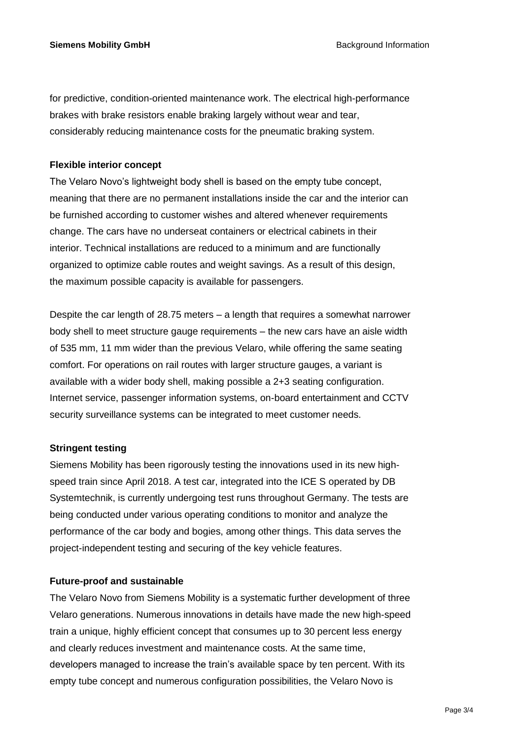for predictive, condition-oriented maintenance work. The electrical high-performance brakes with brake resistors enable braking largely without wear and tear, considerably reducing maintenance costs for the pneumatic braking system.

# **Flexible interior concept**

The Velaro Novo's lightweight body shell is based on the empty tube concept, meaning that there are no permanent installations inside the car and the interior can be furnished according to customer wishes and altered whenever requirements change. The cars have no underseat containers or electrical cabinets in their interior. Technical installations are reduced to a minimum and are functionally organized to optimize cable routes and weight savings. As a result of this design, the maximum possible capacity is available for passengers.

Despite the car length of 28.75 meters – a length that requires a somewhat narrower body shell to meet structure gauge requirements – the new cars have an aisle width of 535 mm, 11 mm wider than the previous Velaro, while offering the same seating comfort. For operations on rail routes with larger structure gauges, a variant is available with a wider body shell, making possible a 2+3 seating configuration. Internet service, passenger information systems, on-board entertainment and CCTV security surveillance systems can be integrated to meet customer needs.

# **Stringent testing**

Siemens Mobility has been rigorously testing the innovations used in its new highspeed train since April 2018. A test car, integrated into the ICE S operated by DB Systemtechnik, is currently undergoing test runs throughout Germany. The tests are being conducted under various operating conditions to monitor and analyze the performance of the car body and bogies, among other things. This data serves the project-independent testing and securing of the key vehicle features.

# **Future-proof and sustainable**

The Velaro Novo from Siemens Mobility is a systematic further development of three Velaro generations. Numerous innovations in details have made the new high-speed train a unique, highly efficient concept that consumes up to 30 percent less energy and clearly reduces investment and maintenance costs. At the same time, developers managed to increase the train's available space by ten percent. With its empty tube concept and numerous configuration possibilities, the Velaro Novo is